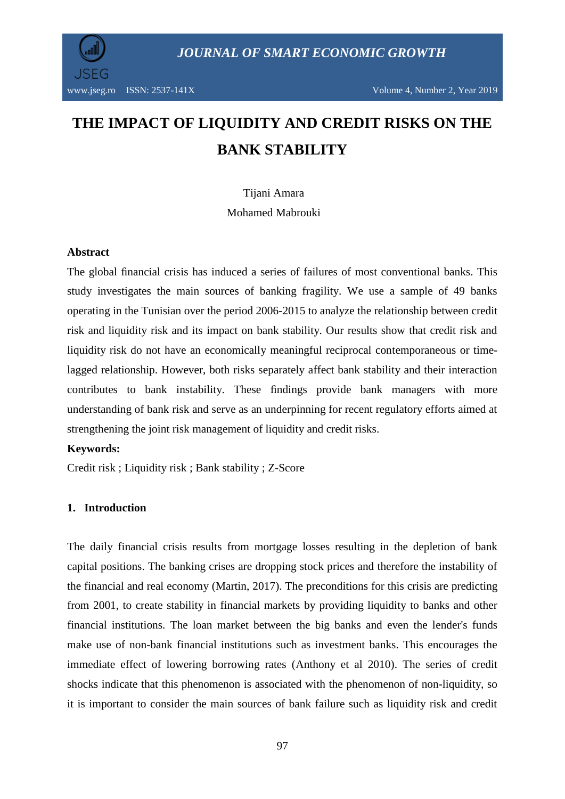

# **THE IMPACT OF LIQUIDITY AND CREDIT RISKS ON THE BANK STABILITY**

Tijani Amara Mohamed Mabrouki

#### **Abstract**

The global financial crisis has induced a series of failures of most conventional banks. This study investigates the main sources of banking fragility. We use a sample of 49 banks operating in the Tunisian over the period 2006-2015 to analyze the relationship between credit risk and liquidity risk and its impact on bank stability. Our results show that credit risk and liquidity risk do not have an economically meaningful reciprocal contemporaneous or timelagged relationship. However, both risks separately affect bank stability and their interaction contributes to bank instability. These findings provide bank managers with more understanding of bank risk and serve as an underpinning for recent regulatory efforts aimed at strengthening the joint risk management of liquidity and credit risks.

#### **Keywords:**

Credit risk ; Liquidity risk ; Bank stability ; Z-Score

#### **1. Introduction**

The daily financial crisis results from mortgage losses resulting in the depletion of bank capital positions. The banking crises are dropping stock prices and therefore the instability of the financial and real economy (Martin, 2017). The preconditions for this crisis are predicting from 2001, to create stability in financial markets by providing liquidity to banks and other financial institutions. The loan market between the big banks and even the lender's funds make use of non-bank financial institutions such as investment banks. This encourages the immediate effect of lowering borrowing rates (Anthony et al 2010). The series of credit shocks indicate that this phenomenon is associated with the phenomenon of non-liquidity, so it is important to consider the main sources of bank failure such as liquidity risk and credit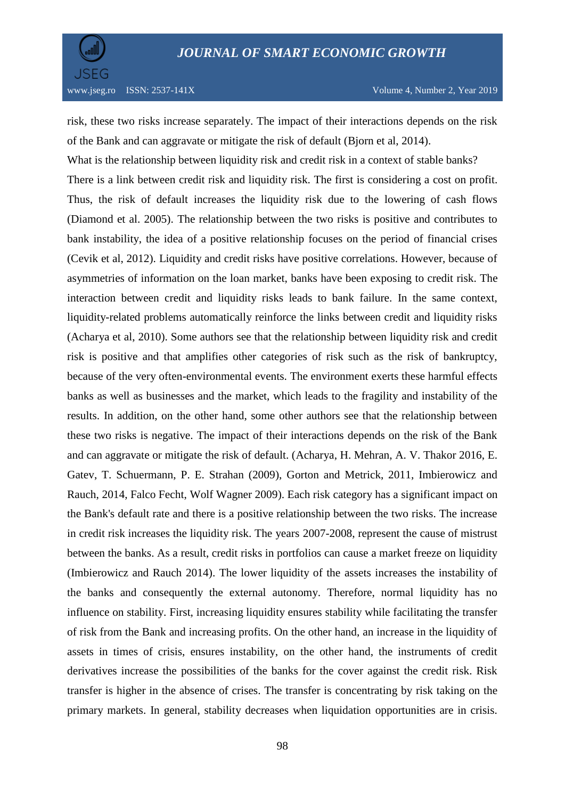

risk, these two risks increase separately. The impact of their interactions depends on the risk of the Bank and can aggravate or mitigate the risk of default (Bjorn et al, 2014).

What is the relationship between liquidity risk and credit risk in a context of stable banks? There is a link between credit risk and liquidity risk. The first is considering a cost on profit. Thus, the risk of default increases the liquidity risk due to the lowering of cash flows (Diamond et al. 2005). The relationship between the two risks is positive and contributes to bank instability, the idea of a positive relationship focuses on the period of financial crises (Cevik et al, 2012). Liquidity and credit risks have positive correlations. However, because of asymmetries of information on the loan market, banks have been exposing to credit risk. The interaction between credit and liquidity risks leads to bank failure. In the same context, liquidity-related problems automatically reinforce the links between credit and liquidity risks (Acharya et al, 2010). Some authors see that the relationship between liquidity risk and credit risk is positive and that amplifies other categories of risk such as the risk of bankruptcy, because of the very often-environmental events. The environment exerts these harmful effects banks as well as businesses and the market, which leads to the fragility and instability of the results. In addition, on the other hand, some other authors see that the relationship between these two risks is negative. The impact of their interactions depends on the risk of the Bank and can aggravate or mitigate the risk of default. (Acharya, H. Mehran, A. V. Thakor 2016, E. Gatev, T. Schuermann, P. E. Strahan (2009), Gorton and Metrick, 2011, Imbierowicz and Rauch, 2014, Falco Fecht, Wolf Wagner 2009). Each risk category has a significant impact on the Bank's default rate and there is a positive relationship between the two risks. The increase in credit risk increases the liquidity risk. The years 2007-2008, represent the cause of mistrust between the banks. As a result, credit risks in portfolios can cause a market freeze on liquidity (Imbierowicz and Rauch 2014). The lower liquidity of the assets increases the instability of the banks and consequently the external autonomy. Therefore, normal liquidity has no influence on stability. First, increasing liquidity ensures stability while facilitating the transfer of risk from the Bank and increasing profits. On the other hand, an increase in the liquidity of assets in times of crisis, ensures instability, on the other hand, the instruments of credit derivatives increase the possibilities of the banks for the cover against the credit risk. Risk transfer is higher in the absence of crises. The transfer is concentrating by risk taking on the primary markets. In general, stability decreases when liquidation opportunities are in crisis.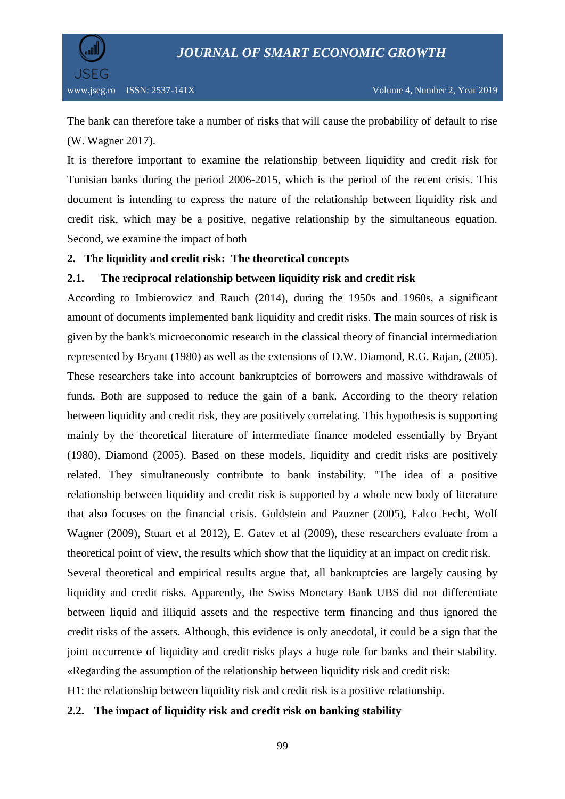

The bank can therefore take a number of risks that will cause the probability of default to rise (W. Wagner 2017).

It is therefore important to examine the relationship between liquidity and credit risk for Tunisian banks during the period 2006-2015, which is the period of the recent crisis. This document is intending to express the nature of the relationship between liquidity risk and credit risk, which may be a positive, negative relationship by the simultaneous equation. Second, we examine the impact of both

## **2. The liquidity and credit risk: The theoretical concepts**

## **2.1. The reciprocal relationship between liquidity risk and credit risk**

According to Imbierowicz and Rauch (2014), during the 1950s and 1960s, a significant amount of documents implemented bank liquidity and credit risks. The main sources of risk is given by the bank's microeconomic research in the classical theory of financial intermediation represented by Bryant (1980) as well as the extensions of D.W. Diamond, R.G. Rajan, (2005). These researchers take into account bankruptcies of borrowers and massive withdrawals of funds. Both are supposed to reduce the gain of a bank. According to the theory relation between liquidity and credit risk, they are positively correlating. This hypothesis is supporting mainly by the theoretical literature of intermediate finance modeled essentially by Bryant (1980), Diamond (2005). Based on these models, liquidity and credit risks are positively related. They simultaneously contribute to bank instability. "The idea of a positive relationship between liquidity and credit risk is supported by a whole new body of literature that also focuses on the financial crisis. Goldstein and Pauzner (2005), Falco Fecht, Wolf Wagner (2009), Stuart et al 2012), E. Gatev et al (2009), these researchers evaluate from a theoretical point of view, the results which show that the liquidity at an impact on credit risk. Several theoretical and empirical results argue that, all bankruptcies are largely causing by liquidity and credit risks. Apparently, the Swiss Monetary Bank UBS did not differentiate between liquid and illiquid assets and the respective term financing and thus ignored the credit risks of the assets. Although, this evidence is only anecdotal, it could be a sign that the joint occurrence of liquidity and credit risks plays a huge role for banks and their stability.

«Regarding the assumption of the relationship between liquidity risk and credit risk:

H1: the relationship between liquidity risk and credit risk is a positive relationship.

## **2.2. The impact of liquidity risk and credit risk on banking stability**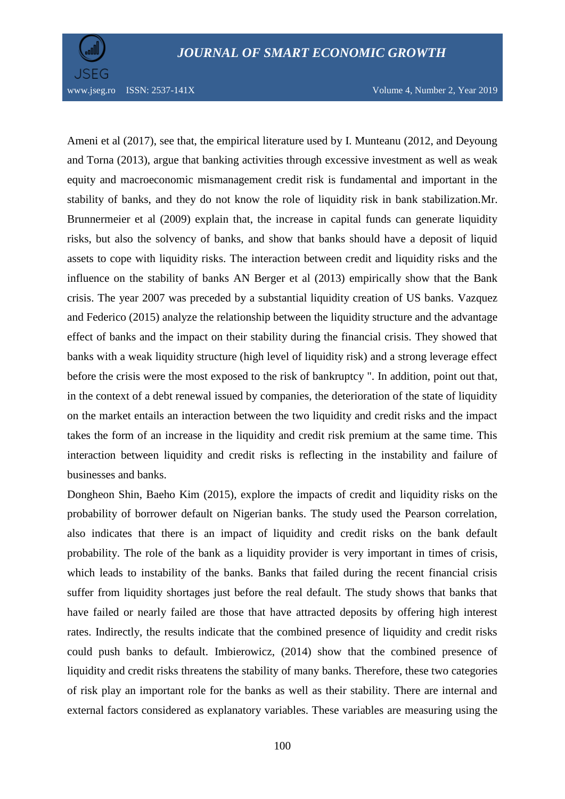



www.jseg.ro ISSN: 2537-141X Volume 4, Number 2, Year 2019

Ameni et al (2017), see that, the empirical literature used by I. Munteanu (2012, and Deyoung and Torna (2013), argue that banking activities through excessive investment as well as weak equity and macroeconomic mismanagement credit risk is fundamental and important in the stability of banks, and they do not know the role of liquidity risk in bank stabilization.Mr. Brunnermeier et al (2009) explain that, the increase in capital funds can generate liquidity risks, but also the solvency of banks, and show that banks should have a deposit of liquid assets to cope with liquidity risks. The interaction between credit and liquidity risks and the influence on the stability of banks AN Berger et al (2013) empirically show that the Bank crisis. The year 2007 was preceded by a substantial liquidity creation of US banks. Vazquez and Federico (2015) analyze the relationship between the liquidity structure and the advantage effect of banks and the impact on their stability during the financial crisis. They showed that banks with a weak liquidity structure (high level of liquidity risk) and a strong leverage effect before the crisis were the most exposed to the risk of bankruptcy ". In addition, point out that, in the context of a debt renewal issued by companies, the deterioration of the state of liquidity on the market entails an interaction between the two liquidity and credit risks and the impact takes the form of an increase in the liquidity and credit risk premium at the same time. This interaction between liquidity and credit risks is reflecting in the instability and failure of businesses and banks.

Dongheon Shin, Baeho Kim (2015), explore the impacts of credit and liquidity risks on the probability of borrower default on Nigerian banks. The study used the Pearson correlation, also indicates that there is an impact of liquidity and credit risks on the bank default probability. The role of the bank as a liquidity provider is very important in times of crisis, which leads to instability of the banks. Banks that failed during the recent financial crisis suffer from liquidity shortages just before the real default. The study shows that banks that have failed or nearly failed are those that have attracted deposits by offering high interest rates. Indirectly, the results indicate that the combined presence of liquidity and credit risks could push banks to default. Imbierowicz, (2014) show that the combined presence of liquidity and credit risks threatens the stability of many banks. Therefore, these two categories of risk play an important role for the banks as well as their stability. There are internal and external factors considered as explanatory variables. These variables are measuring using the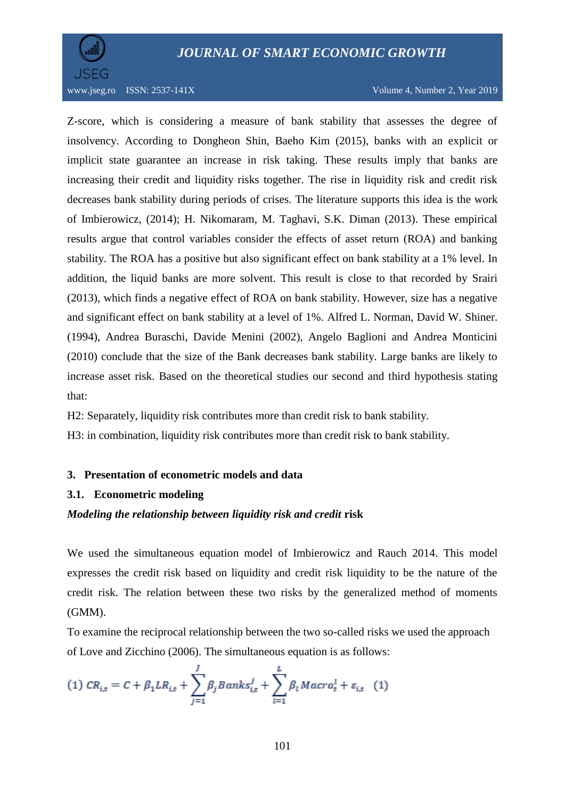

www.jseg.ro ISSN: 2537-141X Volume 4, Number 2, Year 2019

Z-score, which is considering a measure of bank stability that assesses the degree of insolvency. According to Dongheon Shin, Baeho Kim (2015), banks with an explicit or implicit state guarantee an increase in risk taking. These results imply that banks are increasing their credit and liquidity risks together. The rise in liquidity risk and credit risk decreases bank stability during periods of crises. The literature supports this idea is the work of Imbierowicz, (2014); H. Nikomaram, M. Taghavi, S.K. Diman (2013). These empirical results argue that control variables consider the effects of asset return (ROA) and banking stability. The ROA has a positive but also significant effect on bank stability at a 1% level. In addition, the liquid banks are more solvent. This result is close to that recorded by Srairi (2013), which finds a negative effect of ROA on bank stability. However, size has a negative and significant effect on bank stability at a level of 1%. Alfred L. Norman, David W. Shiner. (1994), Andrea Buraschi, Davide Menini (2002), Angelo Baglioni and Andrea Monticini (2010) conclude that the size of the Bank decreases bank stability. Large banks are likely to increase asset risk. Based on the theoretical studies our second and third hypothesis stating that:

H2: Separately, liquidity risk contributes more than credit risk to bank stability.

H3: in combination, liquidity risk contributes more than credit risk to bank stability.

#### **3. Presentation of econometric models and data**

#### **3.1. Econometric modeling**

#### *Modeling the relationship between liquidity risk and credit* **risk**

We used the simultaneous equation model of Imbierowicz and Rauch 2014. This model expresses the credit risk based on liquidity and credit risk liquidity to be the nature of the credit risk. The relation between these two risks by the generalized method of moments (GMM).

To examine the reciprocal relationship between the two so-called risks we used the approach of Love and Zicchino (2006). The simultaneous equation is as follows:

(1) 
$$
CR_{i,t} = C + \beta_1 LR_{i,t} + \sum_{j=1}^{J} \beta_j Banks_{i,t}^j + \sum_{l=1}^{L} \beta_l Macro_t^l + \varepsilon_{i,t}
$$
 (1)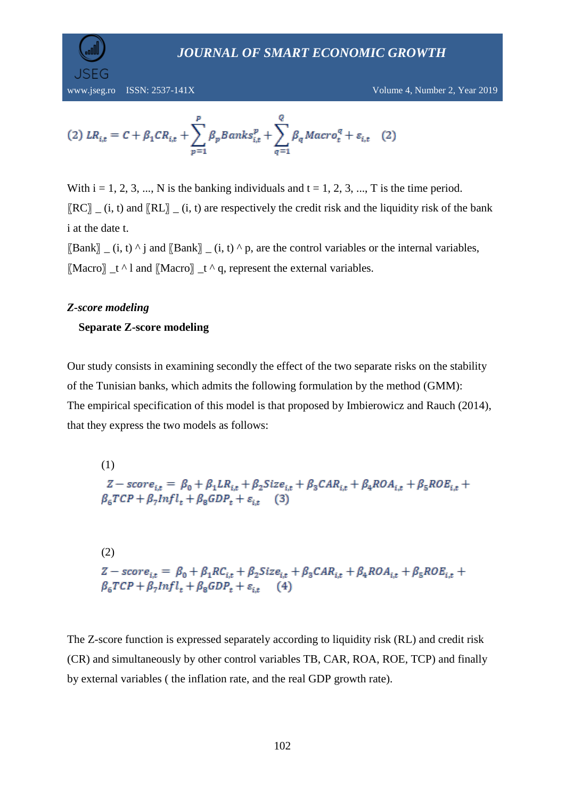

www.jseg.ro ISSN: 2537-141X Volume 4, Number 2, Year 2019

(2) 
$$
LR_{i,t} = C + \beta_1 CR_{i,t} + \sum_{p=1}^{p} \beta_p Banks_{i,t}^p + \sum_{q=1}^{Q} \beta_q Macro_t^q + \varepsilon_{i,t}
$$
 (2)

With  $i = 1, 2, 3, \dots$ , N is the banking individuals and  $t = 1, 2, 3, \dots$ , T is the time period.  $[RC]$  (i, t) and  $[RL]$  (i, t) are respectively the credit risk and the liquidity risk of the bank i at the date t.

 $[\text{Bank}]$  (i, t) ^ j and  $[\text{Bank}]$  (i, t) ^ p, are the control variables or the internal variables,  $[Macco]$   $_t \wedge 1$  and  $[Macco]$   $_t \wedge q$ , represent the external variables.

## *Z-score modeling*

## **Separate Z-score modeling**

Our study consists in examining secondly the effect of the two separate risks on the stability of the Tunisian banks, which admits the following formulation by the method (GMM): The empirical specification of this model is that proposed by Imbierowicz and Rauch (2014), that they express the two models as follows:

(1)  $Z-score_{i,t} = \beta_0 + \beta_1 LR_{i,t} + \beta_2 Size_{i,t} + \beta_3 CAR_{i,t} + \beta_4 ROA_{i,t} + \beta_5 ROE_{i,t} +$  $\beta_6 TCP + \beta_7 Infl_t + \beta_8 GDP_t + \varepsilon_{i,t}$  (3)

(2)  $Z-score_{i,t} = \beta_0 + \beta_1 RC_{i,t} + \beta_2 Size_{i,t} + \beta_3 CAR_{i,t} + \beta_4 ROA_{i,t} + \beta_5 ROE_{i,t}$  $\beta_6 TCP + \beta_7 Infl_t + \beta_8 GDP_t + \varepsilon_{i,t}$  (4)

The Z-score function is expressed separately according to liquidity risk (RL) and credit risk (CR) and simultaneously by other control variables TB, CAR, ROA, ROE, TCP) and finally by external variables ( the inflation rate, and the real GDP growth rate).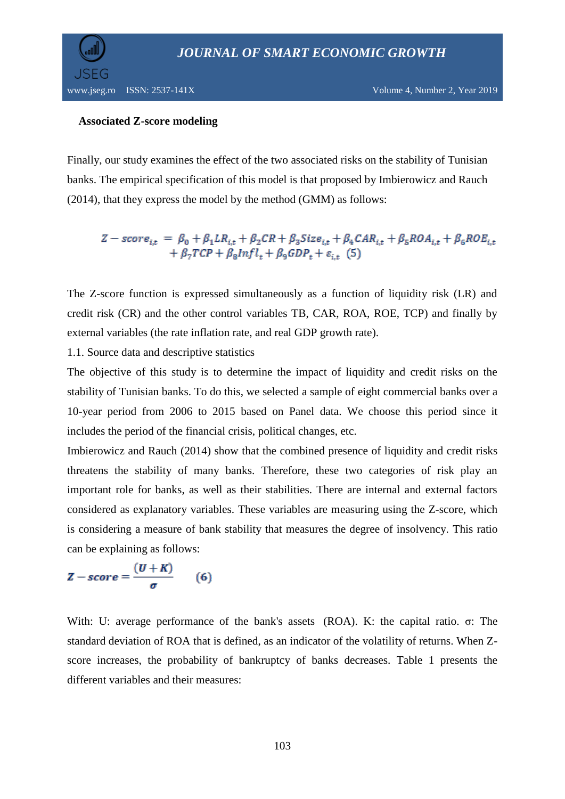

#### **Associated Z-score modeling**

Finally, our study examines the effect of the two associated risks on the stability of Tunisian banks. The empirical specification of this model is that proposed by Imbierowicz and Rauch (2014), that they express the model by the method (GMM) as follows:

$$
Z-score_{i,t} = \beta_0 + \beta_1 LR_{i,t} + \beta_2 CR + \beta_3 Size_{i,t} + \beta_4 CAR_{i,t} + \beta_5 ROA_{i,t} + \beta_6 ROE_{i,t} + \beta_7 TCP + \beta_8 Infl_t + \beta_9 GDP_t + \varepsilon_{i,t} (5)
$$

The Z-score function is expressed simultaneously as a function of liquidity risk (LR) and credit risk (CR) and the other control variables TB, CAR, ROA, ROE, TCP) and finally by external variables (the rate inflation rate, and real GDP growth rate).

1.1. Source data and descriptive statistics

The objective of this study is to determine the impact of liquidity and credit risks on the stability of Tunisian banks. To do this, we selected a sample of eight commercial banks over a 10-year period from 2006 to 2015 based on Panel data. We choose this period since it includes the period of the financial crisis, political changes, etc.

Imbierowicz and Rauch (2014) show that the combined presence of liquidity and credit risks threatens the stability of many banks. Therefore, these two categories of risk play an important role for banks, as well as their stabilities. There are internal and external factors considered as explanatory variables. These variables are measuring using the Z-score, which is considering a measure of bank stability that measures the degree of insolvency. This ratio can be explaining as follows:

$$
Z-score = \frac{(U+K)}{\sigma} \qquad (6)
$$

With: U: average performance of the bank's assets (ROA). K: the capital ratio. σ: The standard deviation of ROA that is defined, as an indicator of the volatility of returns. When Zscore increases, the probability of bankruptcy of banks decreases. Table 1 presents the different variables and their measures: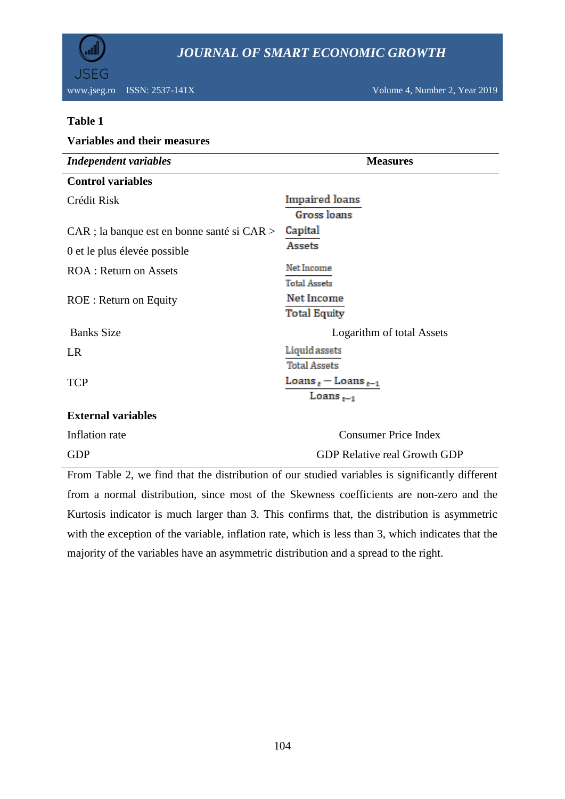

www.jseg.ro ISSN: 2537-141X Volume 4, Number 2, Year 2019

#### **Table 1**

| <b>Variables and their measures</b>         |                                     |  |  |  |  |
|---------------------------------------------|-------------------------------------|--|--|--|--|
| <b>Independent variables</b>                | <b>Measures</b>                     |  |  |  |  |
| <b>Control variables</b>                    |                                     |  |  |  |  |
| Crédit Risk                                 | Impaired loans                      |  |  |  |  |
|                                             | Gross loans                         |  |  |  |  |
| CAR ; la banque est en bonne santé si CAR > | Capital                             |  |  |  |  |
| 0 et le plus élevée possible                | Assets                              |  |  |  |  |
| <b>ROA</b> : Return on Assets               | Net Income                          |  |  |  |  |
|                                             | <b>Total Assets</b>                 |  |  |  |  |
| <b>ROE</b> : Return on Equity               | Net Income                          |  |  |  |  |
|                                             | Total Equity                        |  |  |  |  |
| <b>Banks Size</b>                           | Logarithm of total Assets           |  |  |  |  |
| LR                                          | Liquid assets                       |  |  |  |  |
|                                             | <b>Total Assets</b>                 |  |  |  |  |
| <b>TCP</b>                                  | Loans $_t$ – Loans $_{t-1}$         |  |  |  |  |
|                                             | Loans $_{t-1}$                      |  |  |  |  |
| <b>External variables</b>                   |                                     |  |  |  |  |
| Inflation rate                              | <b>Consumer Price Index</b>         |  |  |  |  |
| <b>GDP</b>                                  | <b>GDP Relative real Growth GDP</b> |  |  |  |  |

From Table 2, we find that the distribution of our studied variables is significantly different from a normal distribution, since most of the Skewness coefficients are non-zero and the Kurtosis indicator is much larger than 3. This confirms that, the distribution is asymmetric with the exception of the variable, inflation rate, which is less than 3, which indicates that the majority of the variables have an asymmetric distribution and a spread to the right.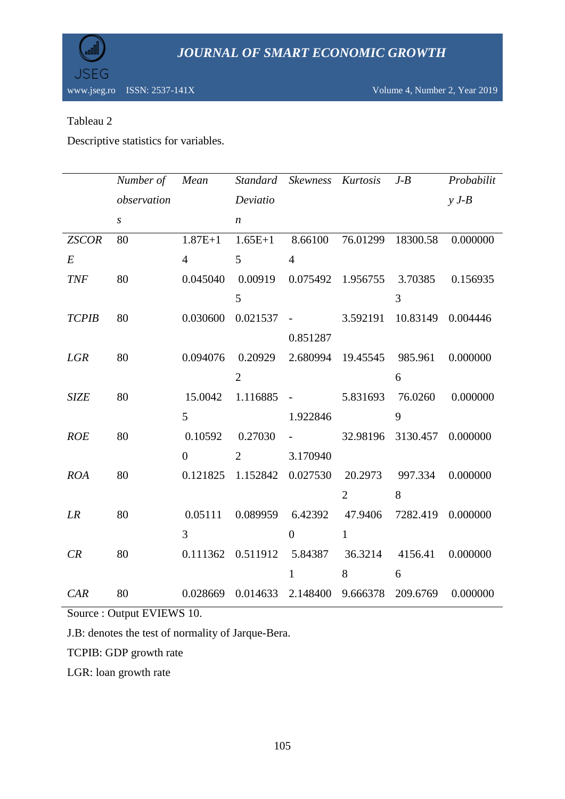

## Tableau 2

Descriptive statistics for variables.

|              | Number of Mean   |                |                            | Standard Skewness Kurtosis                      |                | $J - B$           | Probabilit |
|--------------|------------------|----------------|----------------------------|-------------------------------------------------|----------------|-------------------|------------|
|              | observation      |                | Deviatio                   |                                                 |                |                   | $y J-B$    |
|              | $\boldsymbol{S}$ |                | $\boldsymbol{n}$           |                                                 |                |                   |            |
| <b>ZSCOR</b> | 80               | $1.87E + 1$    | $1.65E+1$                  | 8.66100                                         |                | 76.01299 18300.58 | 0.000000   |
| $E_{\rm}$    |                  | $\overline{4}$ | 5                          | $\overline{4}$                                  |                |                   |            |
| <b>TNF</b>   | 80               | 0.045040       |                            | 0.00919 0.075492 1.956755 3.70385 0.156935      |                |                   |            |
|              |                  |                | 5                          |                                                 |                | 3                 |            |
| <b>TCPIB</b> | 80               | 0.030600       |                            | $0.021537 -$                                    |                | 3.592191 10.83149 | 0.004446   |
|              |                  |                |                            | 0.851287                                        |                |                   |            |
| <b>LGR</b>   | 80               | 0.094076       | 0.20929                    | 2.680994 19.45545 985.961                       |                |                   | 0.000000   |
|              |                  |                | $\overline{2}$             |                                                 |                | 6                 |            |
| <b>SIZE</b>  | 80               | 15.0042        |                            | $1.116885 -$                                    |                | 5.831693 76.0260  | 0.000000   |
|              |                  | 5              |                            | 1.922846                                        |                | 9                 |            |
| <b>ROE</b>   | 80               |                | 0.10592 0.27030            | $\Delta \sim 10^{11}$ and $\Delta \sim 10^{11}$ |                | 32.98196 3130.457 | 0.000000   |
|              |                  | $\Omega$       | 2                          | 3.170940                                        |                |                   |            |
| <b>ROA</b>   | 80               |                | 0.121825 1.152842 0.027530 |                                                 |                | 20.2973 997.334   | 0.000000   |
|              |                  |                |                            |                                                 | $\overline{2}$ | 8                 |            |
| LR           | 80               |                |                            | 0.05111 0.089959 6.42392 47.9406 7282.419       |                |                   | 0.000000   |
|              |                  | $\overline{3}$ |                            | $\overline{0}$                                  | $\mathbf{1}$   |                   |            |
| CR           | 80               |                |                            | 0.111362 0.511912 5.84387 36.3214 4156.41       |                |                   | 0.000000   |
|              |                  |                |                            | $\mathbf{1}$                                    | 8              | 6                 |            |
| CAR          | 80               |                |                            | 0.028669 0.014633 2.148400 9.666378 209.6769    |                |                   | 0.000000   |

Source : Output EVIEWS 10.

J.B: denotes the test of normality of Jarque-Bera.

TCPIB: GDP growth rate

LGR: loan growth rate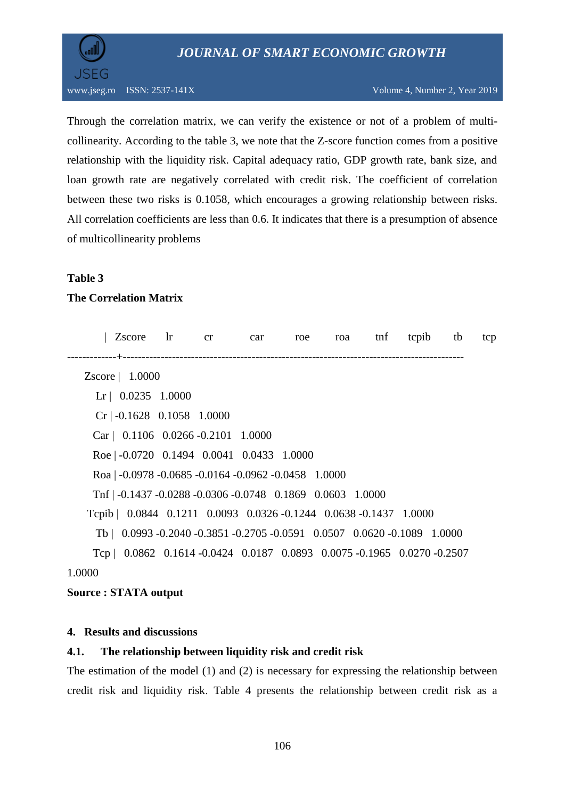

Through the correlation matrix, we can verify the existence or not of a problem of multicollinearity. According to the table 3, we note that the Z-score function comes from a positive relationship with the liquidity risk. Capital adequacy ratio, GDP growth rate, bank size, and loan growth rate are negatively correlated with credit risk. The coefficient of correlation between these two risks is 0.1058, which encourages a growing relationship between risks. All correlation coefficients are less than 0.6. It indicates that there is a presumption of absence of multicollinearity problems

## **Table 3**

## **The Correlation Matrix**

|        | Zscore                                                                   | $\ln$ | cr | car | roe | roa | tnf | tcpib | tb | tcp |
|--------|--------------------------------------------------------------------------|-------|----|-----|-----|-----|-----|-------|----|-----|
|        |                                                                          |       |    |     |     |     |     |       |    |     |
|        | $Zscore$   1.0000                                                        |       |    |     |     |     |     |       |    |     |
|        | $\text{Lr}$   0.0235 1.0000                                              |       |    |     |     |     |     |       |    |     |
|        | $Cr$   -0.1628 0.1058 1.0000                                             |       |    |     |     |     |     |       |    |     |
|        | Car   $0.1106$ 0.0266 -0.2101 1.0000                                     |       |    |     |     |     |     |       |    |     |
|        | Roe   $-0.0720$ 0.1494 0.0041 0.0433 1.0000                              |       |    |     |     |     |     |       |    |     |
|        | Roa $ -0.0978 -0.0685 -0.0164 -0.0962 -0.0458$ 1.0000                    |       |    |     |     |     |     |       |    |     |
|        | Tnf $\vert$ -0.1437 -0.0288 -0.0306 -0.0748 0.1869 0.0603 1.0000         |       |    |     |     |     |     |       |    |     |
|        | Tcpib   0.0844 0.1211 0.0093 0.0326 -0.1244 0.0638 -0.1437 1.0000        |       |    |     |     |     |     |       |    |     |
|        | Tb   0.0993 -0.2040 -0.3851 -0.2705 -0.0591 0.0507 0.0620 -0.1089 1.0000 |       |    |     |     |     |     |       |    |     |
|        | Tcp   0.0862 0.1614 -0.0424 0.0187 0.0893 0.0075 -0.1965 0.0270 -0.2507  |       |    |     |     |     |     |       |    |     |
| 1.0000 |                                                                          |       |    |     |     |     |     |       |    |     |

#### **Source : STATA output**

#### **4. Results and discussions**

## **4.1. The relationship between liquidity risk and credit risk**

The estimation of the model (1) and (2) is necessary for expressing the relationship between credit risk and liquidity risk. Table 4 presents the relationship between credit risk as a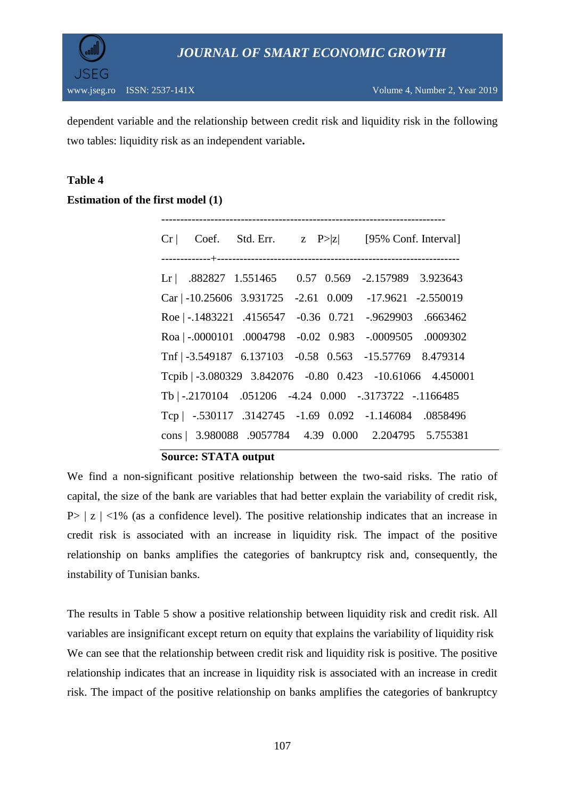

dependent variable and the relationship between credit risk and liquidity risk in the following two tables: liquidity risk as an independent variable**.**

## **Table 4**

## **Estimation of the first model (1)**

|  | $Cr$ Coef. Std. Err. $z \quad P >  z $ [95% Conf. Interval] |  |
|--|-------------------------------------------------------------|--|
|  |                                                             |  |
|  | Lr   .882827 1.551465   0.57   0.569   -2.157989   3.923643 |  |
|  | Car   -10.25606 3.931725 -2.61 0.009 -17.9621 -2.550019     |  |
|  | Roe   -.1483221 .4156547 -0.36 0.721 -.9629903 .6663462     |  |
|  | Roa   -.0000101 .0004798 -0.02 0.983 -.0009505 .0009302     |  |
|  | Tnf   -3.549187 6.137103 -0.58 0.563 -15.57769 8.479314     |  |
|  | Tcpib   -3.080329 3.842076 -0.80 0.423 -10.61066 4.450001   |  |
|  | Tb   -.2170104 .051206 -4.24 0.000 -.3173722 -.1166485      |  |
|  | Tcp   -.530117 .3142745 -1.69 0.092 -1.146084 .0858496      |  |
|  | cons   3.980088 .9057784 4.39 0.000 2.204795 5.755381       |  |

#### **Source: STATA output**

We find a non-significant positive relationship between the two-said risks. The ratio of capital, the size of the bank are variables that had better explain the variability of credit risk,  $P>|z| < 1\%$  (as a confidence level). The positive relationship indicates that an increase in credit risk is associated with an increase in liquidity risk. The impact of the positive relationship on banks amplifies the categories of bankruptcy risk and, consequently, the instability of Tunisian banks.

The results in Table 5 show a positive relationship between liquidity risk and credit risk. All variables are insignificant except return on equity that explains the variability of liquidity risk We can see that the relationship between credit risk and liquidity risk is positive. The positive relationship indicates that an increase in liquidity risk is associated with an increase in credit risk. The impact of the positive relationship on banks amplifies the categories of bankruptcy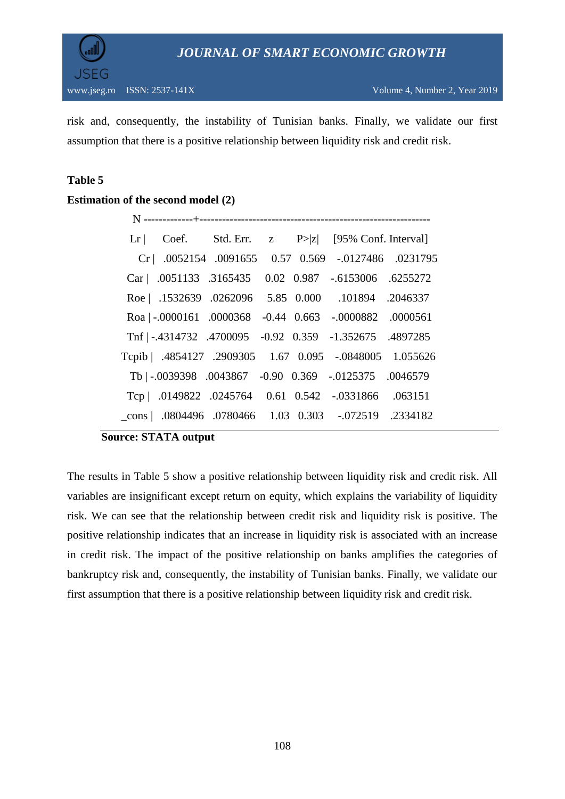

risk and, consequently, the instability of Tunisian banks. Finally, we validate our first assumption that there is a positive relationship between liquidity risk and credit risk.

## **Table 5**

## **Estimation of the second model (2)**

|  |  | Lr   Coef. Std. Err. $z \quad P >  z $ [95% Conf. Interval]  |  |
|--|--|--------------------------------------------------------------|--|
|  |  | Cr   .0052154 .0091655 0.57 0.569 -.0127486 .0231795         |  |
|  |  | Car   .0051133 .3165435 0.02 0.987 -.6153006 .6255272        |  |
|  |  | Roe   .1532639 .0262096 5.85 0.000 .101894 .2046337          |  |
|  |  | Roa   -.0000161 .0000368 -0.44 0.663 -.0000882 .0000561      |  |
|  |  | Tnf   -.4314732 .4700095 -0.92 0.359 -1.352675 .4897285      |  |
|  |  | Tcpib   .4854127 .2909305 1.67 0.095 -.0848005 1.055626      |  |
|  |  | Tb $ -0.039398$ .0043867 -0.90 0.369 -.0125375 .0046579      |  |
|  |  | Tcp   .0149822 .0245764 0.61 0.542 -.0331866 .063151         |  |
|  |  | $\text{cons}$ .0804496 .0780466 1.03 0.303 -.072519 .2334182 |  |

#### **Source: STATA output**

The results in Table 5 show a positive relationship between liquidity risk and credit risk. All variables are insignificant except return on equity, which explains the variability of liquidity risk. We can see that the relationship between credit risk and liquidity risk is positive. The positive relationship indicates that an increase in liquidity risk is associated with an increase in credit risk. The impact of the positive relationship on banks amplifies the categories of bankruptcy risk and, consequently, the instability of Tunisian banks. Finally, we validate our first assumption that there is a positive relationship between liquidity risk and credit risk.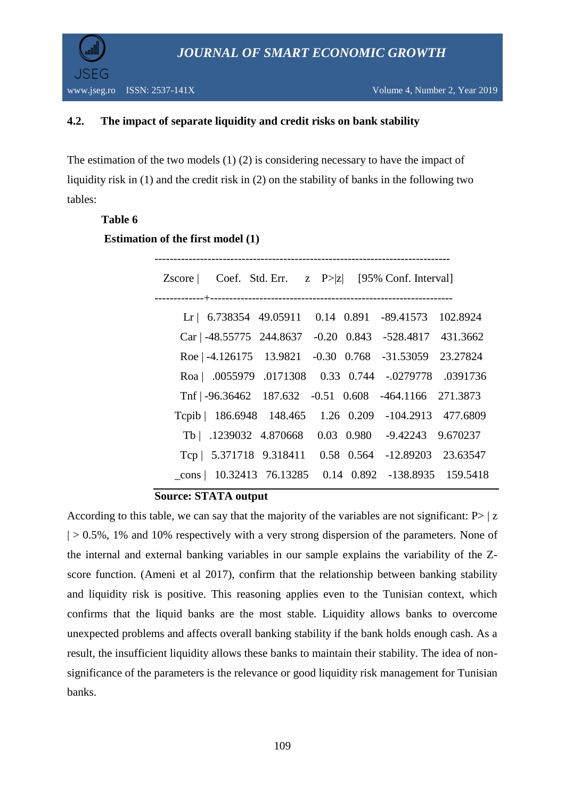

## **4.2. The impact of separate liquidity and credit risks on bank stability**

The estimation of the two models (1) (2) is considering necessary to have the impact of liquidity risk in (1) and the credit risk in (2) on the stability of banks in the following two tables:

## **Table 6**

**Estimation of the first model (1)**

| Zscore   Coef. Std. Err. $z \quad P >  z $ [95% Conf. Interval] |  |  |  |
|-----------------------------------------------------------------|--|--|--|
| Lr   6.738354 49.05911 0.14 0.891 -89.41573 102.8924            |  |  |  |
| Car   -48.55775 244.8637 -0.20 0.843 -528.4817 431.3662         |  |  |  |
| Roe   -4.126175 13.9821 -0.30 0.768 -31.53059 23.27824          |  |  |  |
| Roa   .0055979 .0171308 0.33 0.744 -.0279778 .0391736           |  |  |  |
| Tnf   -96.36462 187.632 -0.51 0.608 -464.1166 271.3873          |  |  |  |
| Tepib   186.6948 148.465 1.26 0.209 -104.2913 477.6809          |  |  |  |
| Tb   .1239032 4.870668 0.03 0.980 -9.42243 9.670237             |  |  |  |
| Tcp   5.371718 9.318411 0.58 0.564 -12.89203 23.63547           |  |  |  |
| $\text{cons}$   10.32413 76.13285 0.14 0.892 -138.8935 159.5418 |  |  |  |
|                                                                 |  |  |  |

**Source: STATA output**

According to this table, we can say that the majority of the variables are not significant:  $P>|z|$  $| > 0.5\%$ , 1% and 10% respectively with a very strong dispersion of the parameters. None of the internal and external banking variables in our sample explains the variability of the Zscore function. (Ameni et al 2017), confirm that the relationship between banking stability and liquidity risk is positive. This reasoning applies even to the Tunisian context, which confirms that the liquid banks are the most stable. Liquidity allows banks to overcome unexpected problems and affects overall banking stability if the bank holds enough cash. As a result, the insufficient liquidity allows these banks to maintain their stability. The idea of nonsignificance of the parameters is the relevance or good liquidity risk management for Tunisian banks.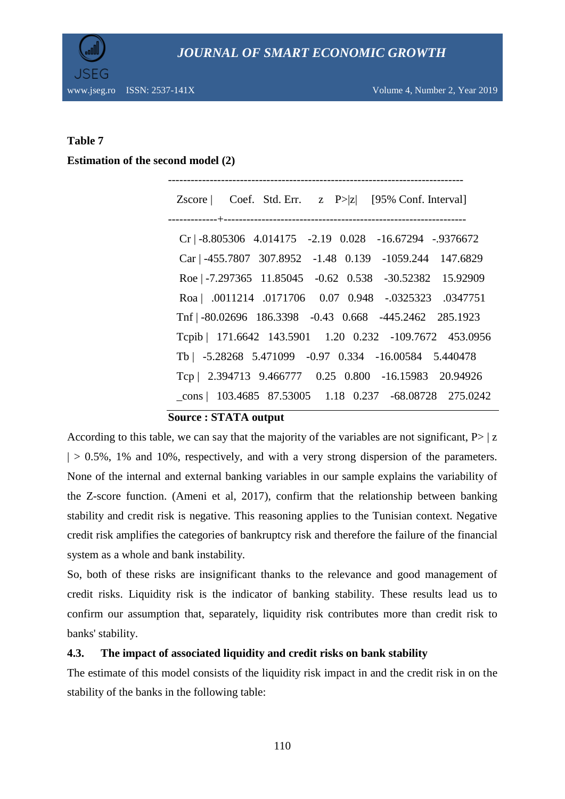

www.jseg.ro ISSN: 2537-141X Volume 4, Number 2, Year 2019

## **Table 7**

#### **Estimation of the second model (2)**

------------------------------------------------------------------------------ Zscore | Coef. Std. Err.  $z \quad P > |z|$  [95% Conf. Interval] -------------+---------------------------------------------------------------- Cr | -8.805306 4.014175 -2.19 0.028 -16.67294 -.9376672 Car | -455.7807 307.8952 -1.48 0.139 -1059.244 147.6829 Roe | -7.297365 11.85045 -0.62 0.538 -30.52382 15.92909 Roa | .0011214 .0171706 0.07 0.948 -.0325323 .0347751 Tnf | -80.02696 186.3398 -0.43 0.668 -445.2462 285.1923 Tcpib | 171.6642 143.5901 1.20 0.232 -109.7672 453.0956 Tb | -5.28268 5.471099 -0.97 0.334 -16.00584 5.440478 Tcp | 2.394713 9.466777 0.25 0.800 -16.15983 20.94926 \_cons | 103.4685 87.53005 1.18 0.237 -68.08728 275.0242

## **Source : STATA output**

According to this table, we can say that the majority of the variables are not significant,  $P>|z|$  $| > 0.5\%$ , 1% and 10%, respectively, and with a very strong dispersion of the parameters. None of the internal and external banking variables in our sample explains the variability of the Z-score function. (Ameni et al, 2017), confirm that the relationship between banking stability and credit risk is negative. This reasoning applies to the Tunisian context. Negative credit risk amplifies the categories of bankruptcy risk and therefore the failure of the financial system as a whole and bank instability.

So, both of these risks are insignificant thanks to the relevance and good management of credit risks. Liquidity risk is the indicator of banking stability. These results lead us to confirm our assumption that, separately, liquidity risk contributes more than credit risk to banks' stability.

## **4.3. The impact of associated liquidity and credit risks on bank stability**

The estimate of this model consists of the liquidity risk impact in and the credit risk in on the stability of the banks in the following table: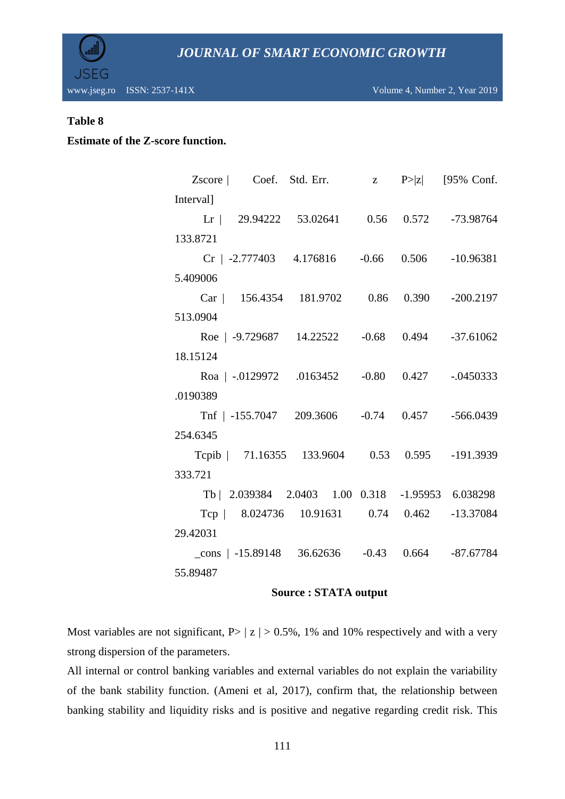

#### **Table 8**

## **Estimate of the Z-score function.**

| Zscore   Coef. Std. Err. $z \quad P >  z $ [95% Conf.    |  |  |
|----------------------------------------------------------|--|--|
| Interval]                                                |  |  |
| Lr   29.94222 53.02641 0.56 0.572 -73.98764              |  |  |
| 133.8721                                                 |  |  |
| $Cr$   -2.777403 4.176816 -0.66 0.506 -10.96381          |  |  |
| 5.409006                                                 |  |  |
| Car   156.4354 181.9702 0.86 0.390 -200.2197             |  |  |
| 513.0904                                                 |  |  |
| Roe   -9.729687 14.22522 -0.68 0.494 -37.61062           |  |  |
| 18.15124                                                 |  |  |
| Roa   -.0129972 .0163452 -0.80 0.427 -.0450333           |  |  |
| .0190389                                                 |  |  |
| Tnf   -155.7047 209.3606 -0.74 0.457 -566.0439           |  |  |
| 254.6345                                                 |  |  |
| Tepib   71.16355 133.9604 0.53 0.595 -191.3939           |  |  |
| 333.721                                                  |  |  |
| Tb   2.039384 2.0403 1.00 0.318 -1.95953 6.038298        |  |  |
| Tcp   8.024736 10.91631 0.74 0.462 -13.37084             |  |  |
| 29.42031                                                 |  |  |
| $\text{cons}$   -15.89148 36.62636 -0.43 0.664 -87.67784 |  |  |
| 55.89487                                                 |  |  |

#### **Source : STATA output**

Most variables are not significant,  $P>|z| > 0.5\%$ , 1% and 10% respectively and with a very strong dispersion of the parameters.

All internal or control banking variables and external variables do not explain the variability of the bank stability function. (Ameni et al, 2017), confirm that, the relationship between banking stability and liquidity risks and is positive and negative regarding credit risk. This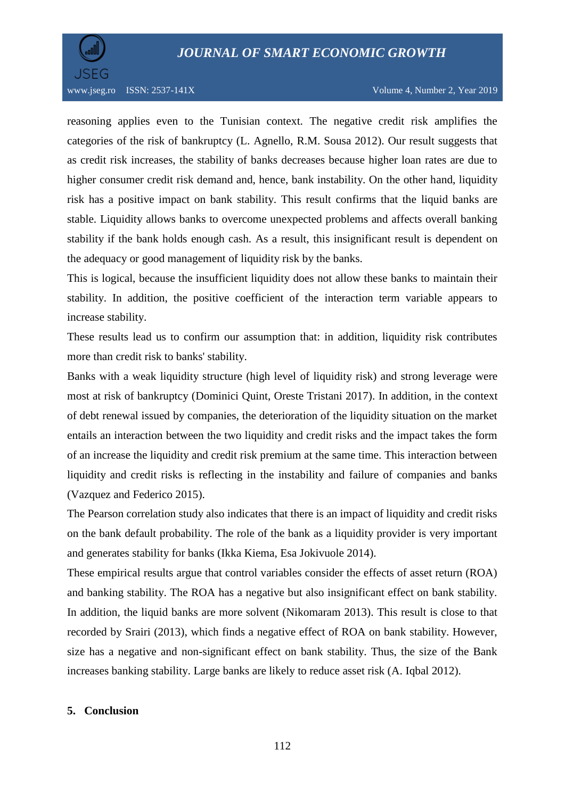

reasoning applies even to the Tunisian context. The negative credit risk amplifies the categories of the risk of bankruptcy (L. Agnello, R.M. Sousa 2012). Our result suggests that as credit risk increases, the stability of banks decreases because higher loan rates are due to higher consumer credit risk demand and, hence, bank instability. On the other hand, liquidity risk has a positive impact on bank stability. This result confirms that the liquid banks are stable. Liquidity allows banks to overcome unexpected problems and affects overall banking stability if the bank holds enough cash. As a result, this insignificant result is dependent on the adequacy or good management of liquidity risk by the banks.

This is logical, because the insufficient liquidity does not allow these banks to maintain their stability. In addition, the positive coefficient of the interaction term variable appears to increase stability.

These results lead us to confirm our assumption that: in addition, liquidity risk contributes more than credit risk to banks' stability.

Banks with a weak liquidity structure (high level of liquidity risk) and strong leverage were most at risk of bankruptcy (Dominici Quint, Oreste Tristani 2017). In addition, in the context of debt renewal issued by companies, the deterioration of the liquidity situation on the market entails an interaction between the two liquidity and credit risks and the impact takes the form of an increase the liquidity and credit risk premium at the same time. This interaction between liquidity and credit risks is reflecting in the instability and failure of companies and banks (Vazquez and Federico 2015).

The Pearson correlation study also indicates that there is an impact of liquidity and credit risks on the bank default probability. The role of the bank as a liquidity provider is very important and generates stability for banks (Ikka Kiema, Esa Jokivuole 2014).

These empirical results argue that control variables consider the effects of asset return (ROA) and banking stability. The ROA has a negative but also insignificant effect on bank stability. In addition, the liquid banks are more solvent (Nikomaram 2013). This result is close to that recorded by Srairi (2013), which finds a negative effect of ROA on bank stability. However, size has a negative and non-significant effect on bank stability. Thus, the size of the Bank increases banking stability. Large banks are likely to reduce asset risk (A. Iqbal 2012).

#### **5. Conclusion**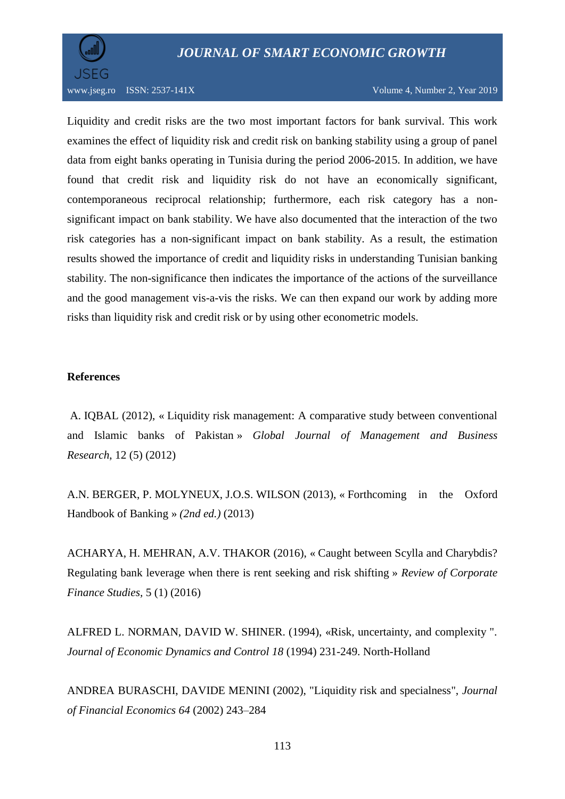

#### www.jseg.ro ISSN: 2537-141X Volume 4, Number 2, Year 2019

Liquidity and credit risks are the two most important factors for bank survival. This work examines the effect of liquidity risk and credit risk on banking stability using a group of panel data from eight banks operating in Tunisia during the period 2006-2015. In addition, we have found that credit risk and liquidity risk do not have an economically significant, contemporaneous reciprocal relationship; furthermore, each risk category has a nonsignificant impact on bank stability. We have also documented that the interaction of the two risk categories has a non-significant impact on bank stability. As a result, the estimation results showed the importance of credit and liquidity risks in understanding Tunisian banking stability. The non-significance then indicates the importance of the actions of the surveillance and the good management vis-a-vis the risks. We can then expand our work by adding more risks than liquidity risk and credit risk or by using other econometric models.

#### **References**

A. IQBAL (2012), « Liquidity risk management: A comparative study between conventional and Islamic banks of Pakistan » *Global Journal of Management and Business Research*, 12 (5) (2012)

A.N. BERGER, P. MOLYNEUX, J.O.S. WILSON (2013), « Forthcoming in the Oxford Handbook of Banking » *(2nd ed.)* (2013)

ACHARYA, H. MEHRAN, A.V. THAKOR (2016), « Caught between Scylla and Charybdis? Regulating bank leverage when there is rent seeking and risk shifting » *Review of Corporate Finance Studies,* 5 (1) (2016)

ALFRED L. NORMAN, DAVID W. SHINER. (1994), «Risk, uncertainty, and complexity ". *Journal of Economic Dynamics and Control 18* (1994) 231-249. North-Holland

ANDREA BURASCHI, DAVIDE MENINI (2002), "Liquidity risk and specialness", *Journal of Financial Economics 64* (2002) 243–284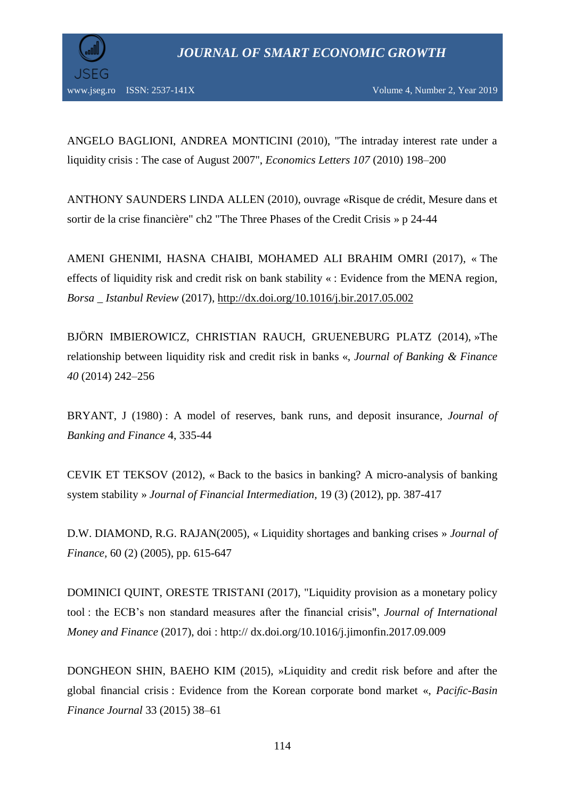

ANGELO BAGLIONI, ANDREA MONTICINI (2010), "The intraday interest rate under a liquidity crisis : The case of August 2007", *Economics Letters 107* (2010) 198–200

ANTHONY SAUNDERS LINDA ALLEN (2010), ouvrage «Risque de crédit, Mesure dans et sortir de la crise financière" ch2 "The Three Phases of the Credit Crisis » p 24-44

AMENI GHENIMI, HASNA CHAIBI, MOHAMED ALI BRAHIM OMRI (2017), « The effects of liquidity risk and credit risk on bank stability « : Evidence from the MENA region, *Borsa \_ Istanbul Review* (2017),<http://dx.doi.org/10.1016/j.bir.2017.05.002>

BJÖRN IMBIEROWICZ, CHRISTIAN RAUCH, GRUENEBURG PLATZ (2014), »The relationship between liquidity risk and credit risk in banks «, *Journal of Banking & Finance 40* (2014) 242–256

BRYANT, J (1980) : A model of reserves, bank runs, and deposit insurance*, Journal of Banking and Finance* 4, 335-44

CEVIK ET TEKSOV (2012), « Back to the basics in banking? A micro-analysis of banking system stability » *Journal of Financial Intermediation,* 19 (3) (2012), pp. 387-417

D.W. DIAMOND, R.G. RAJAN(2005), « Liquidity shortages and banking crises » *Journal of Finance,* 60 (2) (2005), pp. 615-647

DOMINICI QUINT, ORESTE TRISTANI (2017), "Liquidity provision as a monetary policy tool : the ECB's non standard measures after the financial crisis", *Journal of International Money and Finance* (2017), doi : http:// dx.doi.org/10.1016/j.jimonfin.2017.09.009

DONGHEON SHIN, BAEHO KIM (2015), »Liquidity and credit risk before and after the global financial crisis : Evidence from the Korean corporate bond market «, *Pacific-Basin Finance Journal* 33 (2015) 38–61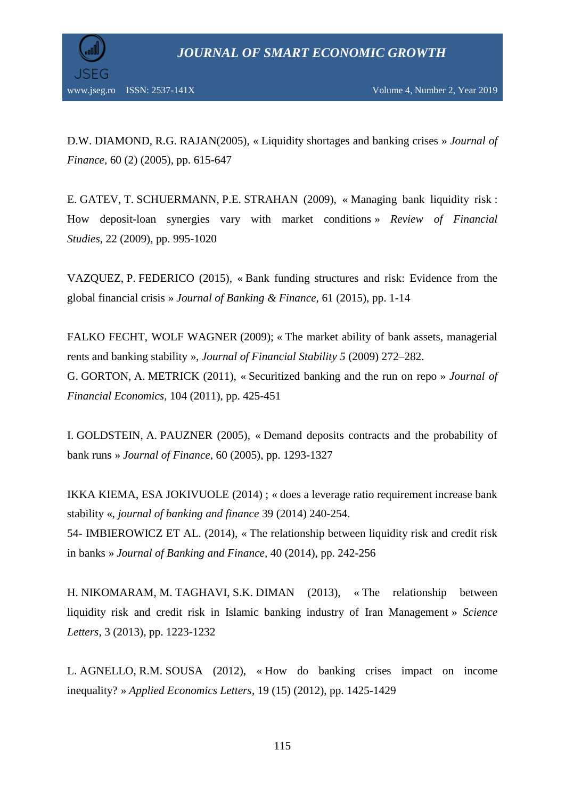

D.W. DIAMOND, R.G. RAJAN(2005), « Liquidity shortages and banking crises » *Journal of Finance,* 60 (2) (2005), pp. 615-647

E. GATEV, T. SCHUERMANN, P.E. STRAHAN (2009), « Managing bank liquidity risk : How deposit-loan synergies vary with market conditions » *Review of Financial Studies*, 22 (2009), pp. 995-1020

VAZQUEZ, P. FEDERICO (2015), « Bank funding structures and risk: Evidence from the global financial crisis » *Journal of Banking & Finance,* 61 (2015), pp. 1-14

FALKO FECHT, WOLF WAGNER (2009); « The market ability of bank assets, managerial rents and banking stability », *Journal of Financial Stability 5* (2009) 272–282. G. GORTON, A. METRICK (2011), « Securitized banking and the run on repo » *Journal of Financial Economics,* 104 (2011), pp. 425-451

I. GOLDSTEIN, A. PAUZNER (2005), « Demand deposits contracts and the probability of bank runs » *Journal of Finance*, 60 (2005), pp. 1293-1327

IKKA KIEMA, ESA JOKIVUOLE (2014) ; « does a leverage ratio requirement increase bank stability «, *journal of banking and finance* 39 (2014) 240-254. 54- IMBIEROWICZ ET AL. (2014), « The relationship between liquidity risk and credit risk in banks » *Journal of Banking and Finance,* 40 (2014), pp. 242-256

H. NIKOMARAM, M. TAGHAVI, S.K. DIMAN (2013), « The relationship between liquidity risk and credit risk in Islamic banking industry of Iran Management » *Science Letters,* 3 (2013), pp. 1223-1232

L. AGNELLO, R.M. SOUSA (2012), « How do banking crises impact on income inequality? » *Applied Economics Letters*, 19 (15) (2012), pp. 1425-1429